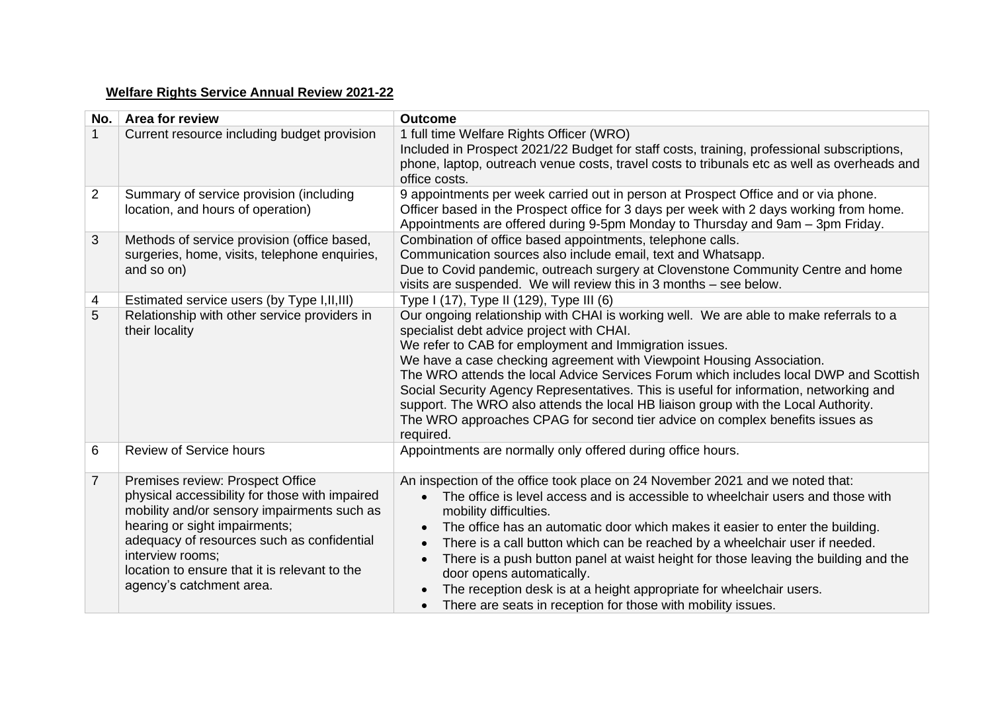## **Welfare Rights Service Annual Review 2021-22**

| No.            | Area for review                                                                                                                                                                                                                                                                                                   | <b>Outcome</b>                                                                                                                                                                                                                                                                                                                                                                                                                                                                                                                                                                                                                                               |
|----------------|-------------------------------------------------------------------------------------------------------------------------------------------------------------------------------------------------------------------------------------------------------------------------------------------------------------------|--------------------------------------------------------------------------------------------------------------------------------------------------------------------------------------------------------------------------------------------------------------------------------------------------------------------------------------------------------------------------------------------------------------------------------------------------------------------------------------------------------------------------------------------------------------------------------------------------------------------------------------------------------------|
|                | Current resource including budget provision                                                                                                                                                                                                                                                                       | 1 full time Welfare Rights Officer (WRO)<br>Included in Prospect 2021/22 Budget for staff costs, training, professional subscriptions,<br>phone, laptop, outreach venue costs, travel costs to tribunals etc as well as overheads and<br>office costs.                                                                                                                                                                                                                                                                                                                                                                                                       |
| $\overline{2}$ | Summary of service provision (including<br>location, and hours of operation)                                                                                                                                                                                                                                      | 9 appointments per week carried out in person at Prospect Office and or via phone.<br>Officer based in the Prospect office for 3 days per week with 2 days working from home.<br>Appointments are offered during 9-5pm Monday to Thursday and 9am - 3pm Friday.                                                                                                                                                                                                                                                                                                                                                                                              |
| 3              | Methods of service provision (office based,<br>surgeries, home, visits, telephone enquiries,<br>and so on)                                                                                                                                                                                                        | Combination of office based appointments, telephone calls.<br>Communication sources also include email, text and Whatsapp.<br>Due to Covid pandemic, outreach surgery at Clovenstone Community Centre and home<br>visits are suspended. We will review this in 3 months - see below.                                                                                                                                                                                                                                                                                                                                                                         |
| 4              | Estimated service users (by Type I, II, III)                                                                                                                                                                                                                                                                      | Type I (17), Type II (129), Type III (6)                                                                                                                                                                                                                                                                                                                                                                                                                                                                                                                                                                                                                     |
| 5              | Relationship with other service providers in<br>their locality                                                                                                                                                                                                                                                    | Our ongoing relationship with CHAI is working well. We are able to make referrals to a<br>specialist debt advice project with CHAI.<br>We refer to CAB for employment and Immigration issues.<br>We have a case checking agreement with Viewpoint Housing Association.<br>The WRO attends the local Advice Services Forum which includes local DWP and Scottish<br>Social Security Agency Representatives. This is useful for information, networking and<br>support. The WRO also attends the local HB liaison group with the Local Authority.<br>The WRO approaches CPAG for second tier advice on complex benefits issues as<br>required.                 |
| 6              | <b>Review of Service hours</b>                                                                                                                                                                                                                                                                                    | Appointments are normally only offered during office hours.                                                                                                                                                                                                                                                                                                                                                                                                                                                                                                                                                                                                  |
| $\overline{7}$ | Premises review: Prospect Office<br>physical accessibility for those with impaired<br>mobility and/or sensory impairments such as<br>hearing or sight impairments;<br>adequacy of resources such as confidential<br>interview rooms;<br>location to ensure that it is relevant to the<br>agency's catchment area. | An inspection of the office took place on 24 November 2021 and we noted that:<br>The office is level access and is accessible to wheelchair users and those with<br>$\bullet$<br>mobility difficulties.<br>The office has an automatic door which makes it easier to enter the building.<br>$\bullet$<br>There is a call button which can be reached by a wheelchair user if needed.<br>There is a push button panel at waist height for those leaving the building and the<br>$\bullet$<br>door opens automatically.<br>The reception desk is at a height appropriate for wheelchair users.<br>There are seats in reception for those with mobility issues. |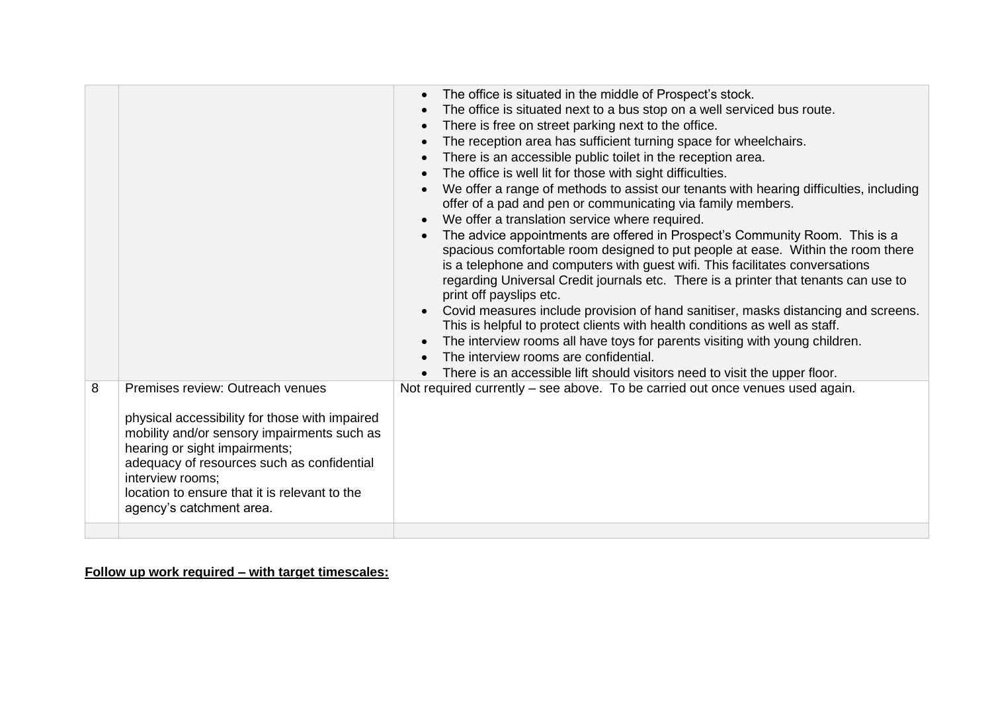|                                                                                                                                                                                                                                                                                                                        | The office is situated in the middle of Prospect's stock.<br>The office is situated next to a bus stop on a well serviced bus route.<br>There is free on street parking next to the office.<br>The reception area has sufficient turning space for wheelchairs.<br>There is an accessible public toilet in the reception area.<br>The office is well lit for those with sight difficulties.<br>We offer a range of methods to assist our tenants with hearing difficulties, including<br>offer of a pad and pen or communicating via family members.<br>We offer a translation service where required.<br>The advice appointments are offered in Prospect's Community Room. This is a<br>spacious comfortable room designed to put people at ease. Within the room there<br>is a telephone and computers with guest wifi. This facilitates conversations<br>regarding Universal Credit journals etc. There is a printer that tenants can use to<br>print off payslips etc.<br>Covid measures include provision of hand sanitiser, masks distancing and screens.<br>This is helpful to protect clients with health conditions as well as staff.<br>The interview rooms all have toys for parents visiting with young children.<br>The interview rooms are confidential.<br>There is an accessible lift should visitors need to visit the upper floor. |
|------------------------------------------------------------------------------------------------------------------------------------------------------------------------------------------------------------------------------------------------------------------------------------------------------------------------|------------------------------------------------------------------------------------------------------------------------------------------------------------------------------------------------------------------------------------------------------------------------------------------------------------------------------------------------------------------------------------------------------------------------------------------------------------------------------------------------------------------------------------------------------------------------------------------------------------------------------------------------------------------------------------------------------------------------------------------------------------------------------------------------------------------------------------------------------------------------------------------------------------------------------------------------------------------------------------------------------------------------------------------------------------------------------------------------------------------------------------------------------------------------------------------------------------------------------------------------------------------------------------------------------------------------------------------------------|
| Premises review: Outreach venues<br>8<br>physical accessibility for those with impaired<br>mobility and/or sensory impairments such as<br>hearing or sight impairments;<br>adequacy of resources such as confidential<br>interview rooms;<br>location to ensure that it is relevant to the<br>agency's catchment area. | Not required currently – see above. To be carried out once venues used again.                                                                                                                                                                                                                                                                                                                                                                                                                                                                                                                                                                                                                                                                                                                                                                                                                                                                                                                                                                                                                                                                                                                                                                                                                                                                        |

## **Follow up work required – with target timescales:**